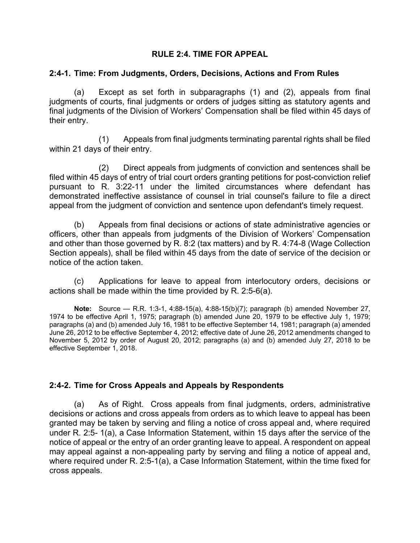# **RULE 2:4. TIME FOR APPEAL**

### **2:4-1. Time: From Judgments, Orders, Decisions, Actions and From Rules**

(a) Except as set forth in subparagraphs (1) and (2), appeals from final judgments of courts, final judgments or orders of judges sitting as statutory agents and final judgments of the Division of Workers' Compensation shall be filed within 45 days of their entry.

(1) Appeals from final judgments terminating parental rights shall be filed within 21 days of their entry.

(2) Direct appeals from judgments of conviction and sentences shall be filed within 45 days of entry of trial court orders granting petitions for post-conviction relief pursuant to R. 3:22-11 under the limited circumstances where defendant has demonstrated ineffective assistance of counsel in trial counsel's failure to file a direct appeal from the judgment of conviction and sentence upon defendant's timely request.

(b) Appeals from final decisions or actions of state administrative agencies or officers, other than appeals from judgments of the Division of Workers' Compensation and other than those governed by R. 8:2 (tax matters) and by R. 4:74-8 (Wage Collection Section appeals), shall be filed within 45 days from the date of service of the decision or notice of the action taken.

(c) Applications for leave to appeal from interlocutory orders, decisions or actions shall be made within the time provided by R. 2:5-6(a).

**Note:** Source — R.R. 1:3-1, 4:88-15(a), 4:88-15(b)(7); paragraph (b) amended November 27, 1974 to be effective April 1, 1975; paragraph (b) amended June 20, 1979 to be effective July 1, 1979; paragraphs (a) and (b) amended July 16, 1981 to be effective September 14, 1981; paragraph (a) amended June 26, 2012 to be effective September 4, 2012; effective date of June 26, 2012 amendments changed to November 5, 2012 by order of August 20, 2012; paragraphs (a) and (b) amended July 27, 2018 to be effective September 1, 2018.

## **2:4-2. Time for Cross Appeals and Appeals by Respondents**

(a) As of Right. Cross appeals from final judgments, orders, administrative decisions or actions and cross appeals from orders as to which leave to appeal has been granted may be taken by serving and filing a notice of cross appeal and, where required under R. 2:5- 1(a), a Case Information Statement, within 15 days after the service of the notice of appeal or the entry of an order granting leave to appeal. A respondent on appeal may appeal against a non-appealing party by serving and filing a notice of appeal and, where required under R. 2:5-1(a), a Case Information Statement, within the time fixed for cross appeals.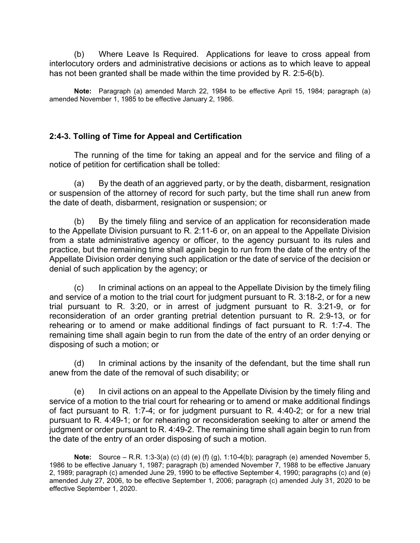(b) Where Leave Is Required. Applications for leave to cross appeal from interlocutory orders and administrative decisions or actions as to which leave to appeal has not been granted shall be made within the time provided by R. 2:5-6(b).

**Note:** Paragraph (a) amended March 22, 1984 to be effective April 15, 1984; paragraph (a) amended November 1, 1985 to be effective January 2, 1986.

## **2:4-3. Tolling of Time for Appeal and Certification**

The running of the time for taking an appeal and for the service and filing of a notice of petition for certification shall be tolled:

(a) By the death of an aggrieved party, or by the death, disbarment, resignation or suspension of the attorney of record for such party, but the time shall run anew from the date of death, disbarment, resignation or suspension; or

(b) By the timely filing and service of an application for reconsideration made to the Appellate Division pursuant to R. 2:11-6 or, on an appeal to the Appellate Division from a state administrative agency or officer, to the agency pursuant to its rules and practice, but the remaining time shall again begin to run from the date of the entry of the Appellate Division order denying such application or the date of service of the decision or denial of such application by the agency; or

(c) In criminal actions on an appeal to the Appellate Division by the timely filing and service of a motion to the trial court for judgment pursuant to R. 3:18-2, or for a new trial pursuant to R. 3:20, or in arrest of judgment pursuant to R. 3:21-9, or for reconsideration of an order granting pretrial detention pursuant to R. 2:9-13, or for rehearing or to amend or make additional findings of fact pursuant to R. 1:7-4. The remaining time shall again begin to run from the date of the entry of an order denying or disposing of such a motion; or

(d) In criminal actions by the insanity of the defendant, but the time shall run anew from the date of the removal of such disability; or

(e) In civil actions on an appeal to the Appellate Division by the timely filing and service of a motion to the trial court for rehearing or to amend or make additional findings of fact pursuant to R. 1:7-4; or for judgment pursuant to R. 4:40-2; or for a new trial pursuant to R. 4:49-1; or for rehearing or reconsideration seeking to alter or amend the judgment or order pursuant to R. 4:49-2. The remaining time shall again begin to run from the date of the entry of an order disposing of such a motion.

**Note:** Source – R.R. 1:3-3(a) (c) (d) (e) (f) (g), 1:10-4(b); paragraph (e) amended November 5, 1986 to be effective January 1, 1987; paragraph (b) amended November 7, 1988 to be effective January 2, 1989; paragraph (c) amended June 29, 1990 to be effective September 4, 1990; paragraphs (c) and (e) amended July 27, 2006, to be effective September 1, 2006; paragraph (c) amended July 31, 2020 to be effective September 1, 2020.